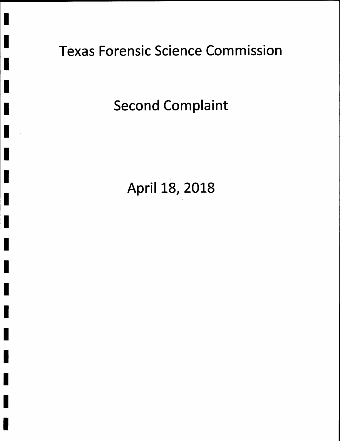# Texas Forensic Science Commission

t

I

I

T

I

t

I

t

I

T

T

I

I

I

I

t

I

I

I

# Second Complaint

# April 18, 2018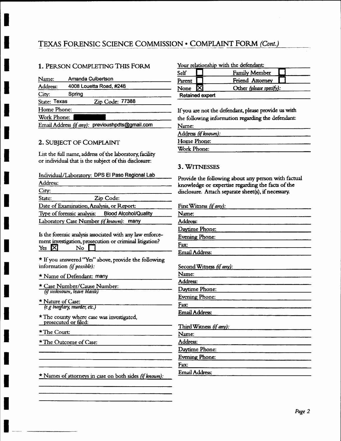## 1. PERSON COMPLETING THIS FORM

| Name:                                           | Amanda Culbertson       |  |
|-------------------------------------------------|-------------------------|--|
| Address:                                        | 4008 Louetta Road, #248 |  |
| City:                                           | Spring                  |  |
| State: Texas                                    | Zip Code: 77388         |  |
| Home Phone:                                     |                         |  |
| Work Phone:                                     |                         |  |
| Email Address (if any): previoushpdts@gmail.com |                         |  |

## 2. SUBJECT OF COMPLAINT

List the full name, address of the laboratory, facility or individual that is the subject of this disclosure:

| Individual/Laboratory: DPS El Paso Regional Lab  |           |
|--------------------------------------------------|-----------|
| Address:                                         |           |
| City:                                            |           |
| State:                                           | Zip Code: |
| Date of Examination, Analysis, or Report:        |           |
| Type of forensic analysis: Blood Alcohol/Quality |           |
| Laboratory Case Number (if buoun)                | many      |

Is the forensic analysis associated with any law enforcement investigation, prosecution or criminal litigation?  $No$ Yes  $|\nabla|$ 

\* If you answered "Yes" above, provide the following information (if possible):

\* Name of Defendant: many

\* Case Number/Cause Number: (if unknown, leave blank)

\* Nature of Case: (e.g burglary, murder, etc.)

\* The county where case was investigated, prosecuted or filed:

\*The Court:

\*The Outcome of Case:

 $\star$  Names of attorneys in case on both sides (if known):

#### Your relationship with the defendant:

| Self            | <b>Family Member</b>    |
|-----------------|-------------------------|
| Parent          | Friend Attorney         |
| None            | Other (please specify): |
| Retained expert |                         |

If you are not the defendant, please provide us with the following information regarding the defendant: **NT** ......

| ivane.              |  |
|---------------------|--|
| Address (if known): |  |
| Home Phone:         |  |
| Work Phone:         |  |

#### 3. WITNESSES

Provide the following about any person with factual knowledge or expertise regarding the facts of the disclosure. Attach separate sheet(s), if necessary.

| First Witness (if any):  |
|--------------------------|
| Name:                    |
| Address:                 |
| Daytime Phone:           |
| <b>Evening Phone:</b>    |
| Fax:                     |
| Email Address:           |
| Second Witness (if any): |
| Name:                    |
| Address:                 |
| Daytime Phone:           |
| <b>Evening Phone:</b>    |
| <b>Fax:</b>              |
| <b>Email Address:</b>    |
| Third Witness (if any):  |
| Name:                    |
| Address:                 |
| Daytime Phone:           |
| Evening Phone:           |
| Fax:                     |
| <b>Email Address:</b>    |
|                          |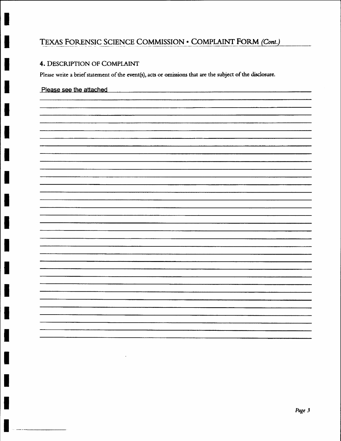# 4. DESCRIPTION OF COMPLAINT

Please write a brief statement of the event(s), acts or omissions that are the subject of the disclosure.

# Please see the attached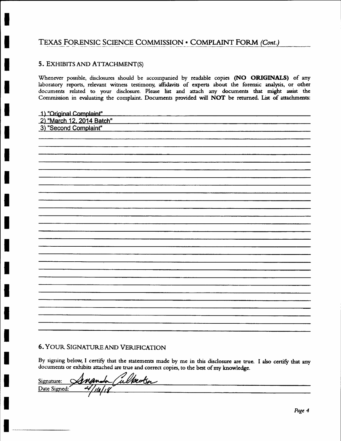## 5. EXHIBITS AND ATTACHMENT(S)

Whenever possible, disclosures should be accompanied by readable copies (NO ORIGINALS) of any laboratory reports, relevant witness testimony, affidavits of experts about the forensic analysis, or other documents related to your disclosure. Please list and attach any documents that might assist the Commission in evaluating the complaint. Documents provided will NOT be returned. List of attachments:

| 1) "Original Complaint"<br>2) "March 12, 2014 Batch"<br>3) "Second Complaint" |
|-------------------------------------------------------------------------------|
|                                                                               |
|                                                                               |
|                                                                               |
|                                                                               |
|                                                                               |
|                                                                               |
|                                                                               |
|                                                                               |
|                                                                               |
|                                                                               |
|                                                                               |
|                                                                               |
|                                                                               |
|                                                                               |
|                                                                               |
|                                                                               |
|                                                                               |
|                                                                               |
|                                                                               |
|                                                                               |
|                                                                               |
|                                                                               |
|                                                                               |
|                                                                               |
|                                                                               |
|                                                                               |
|                                                                               |
|                                                                               |
|                                                                               |

## **6. YOUR SIGNATURE AND VERIFICATION**

By signing below, I certify that the statements made by me in this disclosure are true. I also certify that any documents or exhibits attached are true and correct copies, to the best of my knowledge.

|              | Signature: Senanda (ulbedson |  |
|--------------|------------------------------|--|
| Date Signed: |                              |  |
|              |                              |  |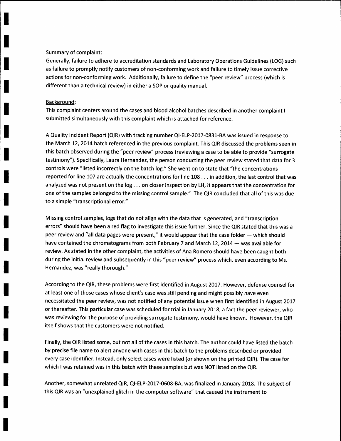#### Summary of complaint:

Generally, failure to adhere to accreditation standards and Laboratory Operations Guidelines (LOG) such as failure to promptly notify customers of non-conforming work and failure to timely issue corrective actions for non-conforming work. Additionally, failure to define the "peer review" process (which is different than a technical review) in either a SOP or quality manual.

#### Background:

I

I

I

I

I

I

I

I

I

I

I

I

T

I

I

T

I

I

I

This complaint centers around the cases and blood alcohol batches described in another complaint <sup>I</sup> submitted simultaneously with this complaint which is attached for reference.

A Quality Incident Report (QIR) with tracking number QI-ELP-2017-0831-BA was issued in response to the March L2,2Ot4 batch referenced in the previous complaint. This QIR discussed the problems seen in this batch observed during the "peer review" process (reviewing a case to be able to provide "surrogate testimony"). Specifically, Laura Hernandez, the person conducting the peer review stated that data for 3 controls were "listed incorrectly on the batch log." She went on to state that "the concentrations reported for line 107 are actually the concentrations for line 108 . . . in addition, the last control that was analyzed was not present on the Iog . . . on closer inspection by LH, it appears that the concentration for one of the samples belonged to the missing control sample." The QIR concluded that all of this was due to a simple "transcriptional error."

Missing control samples, logs that do not align with the data that is generated, and "transcription errors" should have been a red flag to investigate this issue further. Since the QIR stated that this was <sup>a</sup> peer review and "all data pages were present," it would appear that the case folder — which should<br>. have contained the chromatograms from both February 7 and March 12, 2014 — was available for review. As stated in the other complaint, the activities of Ana Romero should have been caught both during the initial review and subsequently in this "peer review" process which, even according to Ms. Hernandez, was "really thorough."

According to the QIR, these problems were first identified in August 2017. However, defense counsel for at least one of those cases whose client's case was still pending and might possibly have even necessitated the peer review, was not notified of any potential issue when first identified in August 20L7 or thereafter. This particular case was scheduled for trial in January 20L8, a fact the peer reviewer, who was reviewing for the purpose of providing surrogate testimony, would have known. However, the QIR itself shows that the customers were not notified.

Finally, the QIR Iisted some, but not all of the cases in this batch. The author could have listed the batch by precise file name to alert anyone with cases in this batch to the problems described or provided every case identifier. Instead, only select cases were listed (or shown on the printed QIR). The case for which I was retained was in this batch with these samples but was NOT listed on the QlR.

Another, somewhat unrelated QlR, QI-ELP-2017-0608-BA, was finalized in January 2018. The subject of this QIR was an "unexplained glitch in the computer software" that caused the instrument to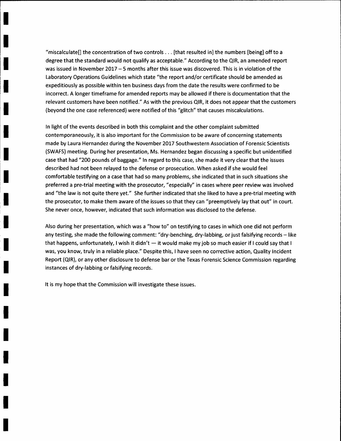"miscalculate[] the concentration of two controls . . . [that resulted in] the numbers [being] off to a degree that the standard would not qualify as acceptable." According to the QlR, an amended report was issued in November 2017 - 5 months after this issue was discovered. This is in violation of the Laboratory Operations Guidelines which state "the report and/or certificate should be amended as expeditiously as possible within ten business days from the date the results were confirmed to be incorrect, A longer timeframe for amended reports may be allowed if there is documentation that the relevant customers have been notified." As with the previous QlR, it does not appear that the customers (beyond the one case referenced) were notified of this "glitch" that causes miscalculations.

ln light of the events described in both this complaint and the other complaint submitted contemporaneously, it is also important for the Commission to be aware of concerning statements made by Laura Hernandez during the November 2017 Southwestern Association of Forensic Scientists (SWAFS) meeting. During her presentation, Ms. Hernandez began discussing a specific but unidentified case that had "200 pounds of baggage." ln regard to this case, she made it very clear that the issues described had not been relayed to the defense or prosecution. When asked if she would feel comfortable testifying on a case that had so many problems, she indicated that in such situations she preferred a pre-trial meeting with the prosecutor, "especially" in cases where peer review was involved and "the law is not quite there yet." She further indicated that she liked to have a pre-trial meeting with the prosecutor, to make them aware of the issues so that they can "preemptively lay that out" in court. She never once, however, indicated that such information was disclosed to the defense.

Also during her presentation, which was a "how to" on testifying to cases in which one did not perform any testing, she made the following comment: "dry-benching, dry-labbing, or just falsifying records - like that happens, unfortunately, I wish it didn't — it would make my job so much easier if I could say that I was, you know, truly in a reliable place." Despite this, I have seen no corrective action, Quality lncident Report (QIR), or any other disclosure to defense bar or the Texas Forensic Science Commission regarding instances of dry-labbing or falsifying records.

It is my hope that the Commission will investigate these issues.

I

I

I

I

I

t

I

I

I

I

I

T

I

I

I

I

I

I

I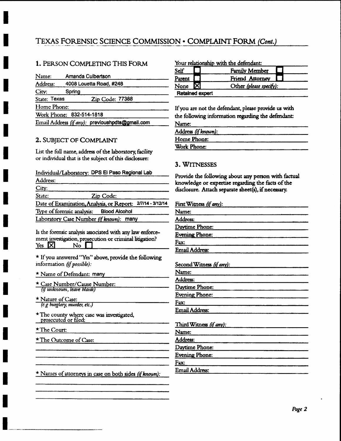# 1. PERSON COMPLETING THIS FORM

| Name:        | Amanda Culbertson                               |  |  |
|--------------|-------------------------------------------------|--|--|
| Address:     | 4008 Louetta Road, #248                         |  |  |
| City:        | Spring                                          |  |  |
| State: Texas | Zip Code: 77388                                 |  |  |
| Home Phone:  |                                                 |  |  |
|              | Work Phone: 832-514-1818                        |  |  |
|              | Email Address (if any): previoushpdts@gmail.com |  |  |

## 2. SUBJECT OF COMPLAINT

List the full name, address of the laboratory, facility or individual that is the subject of this disclosure:

Individual/Laboratory: DPS El Paso Regional Lab

| Address: |                                                            |
|----------|------------------------------------------------------------|
| City:    |                                                            |
| State:   | Zip Code:                                                  |
|          | Date of Examination, Analysis, or Report: 277/14 - 3/12/14 |
|          | Type of forensic analysis: Blood Alcohol                   |
|          | Laboratory Case Number (if known): many                    |

Is the forensic analysis associated with any law enforcement investigation, prosecution or criminal litigation? Yes | X  $\overline{N}$ o $\overline{\Box}$ 

\* If you answered "Yes" above, provide the following information (if possible):

\* Name of Defendant: many

\* Case Number/Cause Number: (if unknown, leave blank)

\* Nature of Case: (e.g burglary, murder, etc.)

\* The county where case was investigated,<br>prosecuted or filed:

\*The Court:

\* The Outcome of Case:

\* Names of attorneys in case on both sides (if known):

#### Your relationship with the defendant:

| Self   |                 | Family Member           |  |
|--------|-----------------|-------------------------|--|
| Parent |                 | Friend Attorney         |  |
| None   |                 | Other (please specify): |  |
|        | Retained expert |                         |  |

If you are not the defendant, please provide us with the following information regarding the defendant:

| Name:               |  |
|---------------------|--|
| Address (if known): |  |
| Home Phone:         |  |
| Work Phone:         |  |

## 3. WITNESSES

Provide the following about any person with factual knowledge or expertise regarding the facts of the disclosure. Attach separate sheet(s), if necessary.

| First Witness (if any):  |  |
|--------------------------|--|
| Name:                    |  |
| Address:                 |  |
| Daytime Phone:           |  |
| <b>Evening Phone:</b>    |  |
| Fax:                     |  |
| <b>Email Address:</b>    |  |
| Second Witness (if any): |  |
| Name:                    |  |
| <b>Address:</b>          |  |
| Daytime Phone:           |  |
| <b>Evening Phone:</b>    |  |
| Fax:                     |  |
| <b>Email Address:</b>    |  |
| Third Witness (if any):  |  |
| <b>Name:</b>             |  |
| <u>Address:</u>          |  |
| Davtime Phone:           |  |

**Evening Phone:** 

Fax:

Email Address: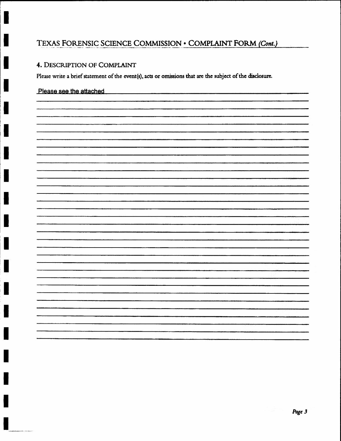# 4. DESCRIPTION OF COMPLAINT

Please write a brief statement of the event(s), acts or omissions that are the subject of the disclosure.

# Please see the attached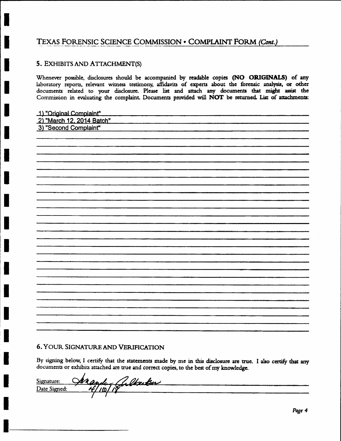# 5. EXHIBITS AND ATTACHMENT(S)

Whenever possible, disclosures should be accompanied by readable copies (NO ORIGINALS) of any laboratory reports, relevant witness testimony, affidavits of experts about the forensic analysis, or other documents related to your disclosure. Please list and attach any documents that might assist the Commission in evaluating the complaint. Documents provided will NOT be returned. List of attachments:

| 1) "Original Complaint"<br>2) "March 12, 2014 Batch"<br>3) "Second Complaint" |  |
|-------------------------------------------------------------------------------|--|
|                                                                               |  |
|                                                                               |  |
|                                                                               |  |
|                                                                               |  |
|                                                                               |  |
|                                                                               |  |
|                                                                               |  |
|                                                                               |  |
|                                                                               |  |
|                                                                               |  |
|                                                                               |  |
|                                                                               |  |
|                                                                               |  |
|                                                                               |  |
|                                                                               |  |
|                                                                               |  |
|                                                                               |  |
|                                                                               |  |
|                                                                               |  |
|                                                                               |  |
|                                                                               |  |
|                                                                               |  |
|                                                                               |  |
|                                                                               |  |
|                                                                               |  |
|                                                                               |  |
|                                                                               |  |
|                                                                               |  |
|                                                                               |  |
|                                                                               |  |
|                                                                               |  |
|                                                                               |  |

# **6. YOUR SIGNATURE AND VERIFICATION**

By signing below, I certify that the statements made by me in this disclosure are true. I also certify that any documents or exhibits attached are true and correct copies, to the best of my knowledge.

| Signature:   | Anande Chellaution |  |
|--------------|--------------------|--|
| Date Signed: | KG I               |  |
|              |                    |  |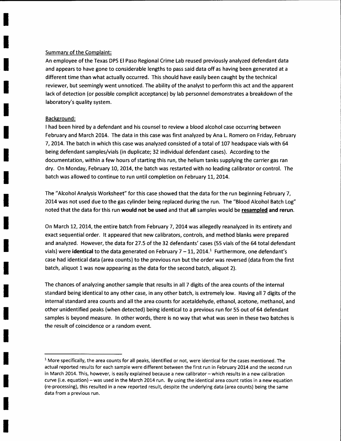#### Summary of the Complaint:

An employee of the Texas DPS EI Paso Regional Crime Lab reused previously analyzed defendant data and appears to have gone to considerable lengths to pass said data off as having been generated at <sup>a</sup> different time than what actually occurred. This should have easily been caught by the technical reviewer, but seemingly went unnoticed. The ability of the analyst to perform this act and the apparent lack of detection (or possible complicit acceptance) by lab personnel demonstrates a breakdown of the laboratory's quality system.

## Background:

I

I

I

I

t

I

I

I

I

t

t

I

I

I

I

I

I

T

I

I had been hired by a defendant and his counsel to review a blood alcohol case occurring between February and March 2014. The data in this case was first analyzed by Ana L. Romero on Friday, February 7, 2014. The batch in which this case was analyzed consisted of a total of 107 headspace vials with 64 being defendant samples/vials (in duplicate; 32 individual defendant cases). According to the documentation, within a few hours of starting this run, the helium tanks supplying the carrier gas ran dry, On Monday, February 10, 2014, the batch was restarted with no leading calibrator or control. The batch was allowed to continue to run until completion on February 11, 2014.

The "Alcohol Analysis Workheet" for this case showed that the data for the run beginning February 7, 2014 was not used due to the gas cylinder being replaced during the run. The "Blood Alcohol Batch Log" noted that the data for this run would not be used and that all samples would be resampled and rerun.

On March 12, 2014, the entire batch from February 7, 2014 was allegedly reanalyzed in its entirety and exact sequential order. It appeared that new calibrators, controls, and method blanks were prepared and analyzed. However, the data for 27 .5 of the 32 defendants' cases (55 vials of the 64 total defendant vials) were identical to the data generated on February  $7-11$ , 2014.<sup>1</sup> Furthermore, one defendant's case had identical data (area counts) to the previous run but the order was reversed (data from the first batch, aliquot 1 was now appearing as the data for the second batch, aliquot 2).

The chances of analyzing another sample that results in all 7 digits of the area counts of the internal standard being identical to any other case, in any other batch, is extremely low. Having all 7 digits of the internal standard area counts and all the area counts for acetaldehyde, ethanol, acetone, methanol, and other unidentified peaks (when detected) being identical to a previous run for 55 out of 64 defendant samples is beyond measure. ln other words, there is no way that what was seen in these two batches is the result of coincidence or a random event.

 $1$  More specifically, the area counts for all peaks, identified or not, were identical for the cases mentioned. The actual reported results for each sample were different between the first run in February 2014 and the second run in March 2014. This, however, is easily explained because a new calibrator - which results in a new calibration curve (i.e. equation) - was used in the March 2014 run. By using the identical area count ratios in a new equation (re-processing), this resulted in a new reported result, despite the underlying data (area counts) being the same data from a previous run.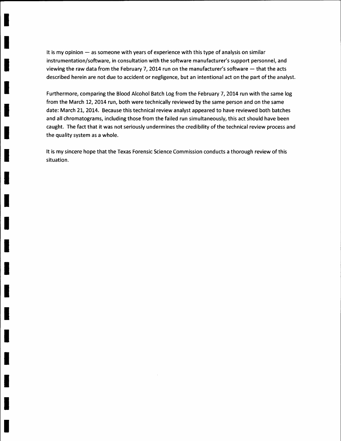It is my opinion  $-$  as someone with years of experience with this type of analysis on similar instrumentation/software, in consultation with the software manufacturer's support personnel, and viewing the raw data from the February 7, 2014 run on the manufacturer's software  $-$  that the acts described herein are not due to accident or negligence, but an intentional act on the part of the analyst.

I

I

I

I

t

I

I

I

I

I

I

I

I

I

I

I

I

I

I

Furthermore, comparing the Blood Alcohol Batch Log from the February 7, 2014 run with the same log from the March 12, 2014 run, both were technically reviewed by the same person and on the same date: March 2L,2OL4. Because this technical review analyst appeared to have reviewed both batches and all chromatograms, including those from the failed run simultaneously, this act should have been caught. The fact that it was not seriously undermines the credibility of the technical review process and the quality system as a whole.

It is my sincere hope that the Texas Forensic Science Commission conducts a thorough review of this situation.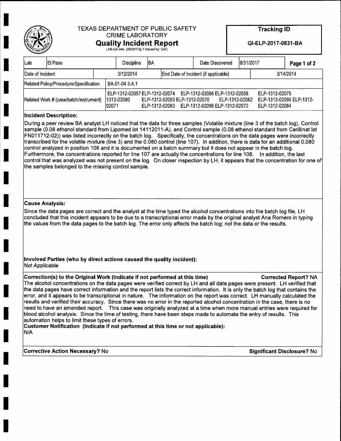

I

I

I

t

I

I

I

I

I

I

I

I

I

I

I

I

I

I

I

## TEXAS DEPARTMENT OF PUBLIC SAFETY CRIME LABORATORY Quality lncident Report

Tracking ID

QI-ELP-2017-0831-BA

LAB-QA-04e (05/2017)p.1 issued by: QAC

| lLab                                                                                                                          | IEI Paso |           | <b>Discipline</b> | IBA                                             |                                      | Date Discovered |  | 18/31/2017                       |                          | Page 1 of 2 |
|-------------------------------------------------------------------------------------------------------------------------------|----------|-----------|-------------------|-------------------------------------------------|--------------------------------------|-----------------|--|----------------------------------|--------------------------|-------------|
| Date of Incident                                                                                                              |          | 3/12/2014 |                   |                                                 | End Date of Incident (if applicable) |                 |  | 3/14/2014                        |                          |             |
| Related Policy/Procedure/Specification                                                                                        |          |           | BA-01-04 3.A.1    |                                                 |                                      |                 |  |                                  |                          |             |
| ELP-1312-02057 ELP-1312-02074 ELP-1312-02086 ELP-1312-02058<br>Related Work # (case/batch/instrument)<br>1312-02080<br>102071 |          |           |                   | ELP-1312-02093 ELP-1312-02070<br>ELP-1312-02083 | ELP-1312-02096 ELP-1312-02072        | ELP-1312-02082  |  | ELP-1312-02075<br>ELP-1312-02084 | ELP-1312-02095 ELP-1312- |             |

#### Incident Description:

During a peer review BA analytt LH noticed that the data for three samples (Volatile mixture (line 3 of the batch log), Control sample (0.08 ethanol standard from Lipomed lot 14112011-A), and Control sample (0.08 ethanol standard from Cerillinat lot FN011712-02)) was listed incorrectly on the batch log. Specifically, the concentrations on the data pages were incorrectly transcribed for the volatile mixture (line 3) and the 0.080 control (line 107). In addition, there is data for an additional 0.080 control analyzed in position 108 and it is documented on a batch summary but it does not appear in the batch log. Furthermore, the concentrations reported for line 107 are actually the concentrations for line 108. In addition, the last control that was analyzed was not present on the log. On closer inspection by LH, it appears that the concentration for one of the samples belonged to the missing control sample.

#### Cause Analysis:

Since the data pages are correct and the analyst at the time typed the alcohol concentrations into the batch log file, LH concluded that this incident appears to be due to a transcriptional error made by the original analyst Ana Romero in typing the values from the data pages to the batch log. The error only affects the batch log; not the data or the results.

#### lnvolved Parties (who by direct actions caused the quality incident): Not Applicable

## Correction(s) to the Original Work (Indicate if not performed at this time) Corrected Report? NA

The alcohol concentrations on the data pages were verified correct by LH and all data pages were present. LH verified that the data pages have correct information and the report lists the correct information. It is only the batch log that contains the error, and it appears to be transcriptional in nature. The infomation on the report was correct. LH manually calculated the results and verified their accuracy. Since there was no error in the reported alcohol concentration in the case, there is no need to have an amended report. This case was originally analyzed at a time when more manual entries were required for blood alcohol analysis. Since the time of testing, there have been steps made to automate the entry of results. This automation helps to limit these types of errors.

Customer Notification (Indicate if not performed at this time or not applicable): N/A

Corrective Action Necessary? No Significant Disclosure? No Significant Disclosure? No Significant Disclosure?